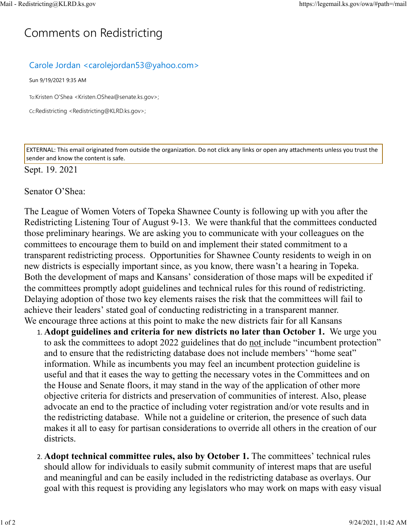## C[omm](https://legemail.ks.gov/owa/#path=/mail)ents on Redistricting

## Carole Jordan <carolejordan53@yahoo.com>

Sun 9/19/2021 9:35 AM

To:Kristen O'Shea <Kristen.OShea@senate.ks.gov>;

Cc:Redistricting <Redistricting@KLRD.ks.gov>;

EXTERNAL: This email originated from outside the organization. Do not click any links or open any attachments unless you trust the sender and know the content is safe.

## Sept. 19. 2021

## Senator O'Shea:

The League of Women Voters of Topeka Shawnee County is following up with you after the Redistricting Listening Tour of August 9-13. We were thankful that the committees conducted those preliminary hearings. We are asking you to communicate with your colleagues on the committees to encourage them to build on and implement their stated commitment to a transparent redistricting process. Opportunities for Shawnee County residents to weigh in on new districts is especially important since, as you know, there wasn't a hearing in Topeka. Both the development of maps and Kansans' consideration of those maps will be expedited if the committees promptly adopt guidelines and technical rules for this round of redistricting. Delaying adoption of those two key elements raises the risk that the committees will fail to achieve their leaders' stated goal of conducting redistricting in a transparent manner. We encourage three actions at this point to make the new districts fair for all Kansans

- 1. **Adopt guidelines and criteria for new districts no later than October 1.** We urge you to ask the committees to adopt 2022 guidelines that do not include "incumbent protection" and to ensure that the redistricting database does not include members' "home seat" information. While as incumbents you may feel an incumbent protection guideline is useful and that it eases the way to getting the necessary votes in the Committees and on the House and Senate floors, it may stand in the way of the application of other more objective criteria for districts and preservation of communities of interest. Also, please advocate an end to the practice of including voter registration and/or vote results and in the redistricting database. While not a guideline or criterion, the presence of such data makes it all to easy for partisan considerations to override all others in the creation of our districts.
- 2. **Adopt technical committee rules, also by October 1.** The committees' technical rules should allow for individuals to easily submit community of interest maps that are useful and meaningful and can be easily included in the redistricting database as overlays. Our goal with this request is providing any legislators who may work on maps with easy visual